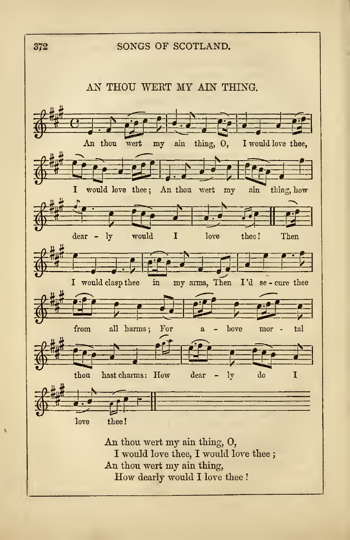